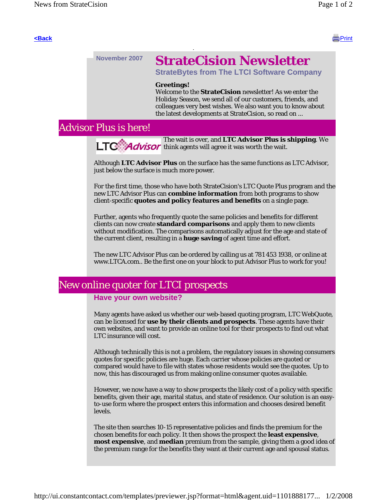

# **November 2007 StrateCision Newsletter**

**StrateBytes from The LTCI Software Company**

#### **Greetings!**

Welcome to the **StrateCision** newsletter! As we enter the Holiday Season, we send all of our customers, friends, and colleagues very best wishes. We also want you to know about the latest developments at StrateCision, so read on ...

## Advisor Plus is here!

The wait is over, and **LTC Advisor Plus is shipping**. We **LTC** Advisor think agents will agree it was worth the wait.

Although **LTC Advisor Plus** on the surface has the same functions as LTC Advisor, just below the surface is much more power.

For the first time, those who have both StrateCision's LTC Quote Plus program and the new LTC Advisor Plus can **combine information** from both programs to show client-specific **quotes and policy features and benefits** on a single page.

Further, agents who frequently quote the same policies and benefits for different clients can now create **standard comparisons** and apply them to new clients without modification. The comparisons automatically adjust for the age and state of the current client, resulting in a **huge saving** of agent time and effort.

The new LTC Advisor Plus can be ordered by calling us at 781 453 1938, or online at www.LTCA.com.. Be the first one on your block to put Advisor Plus to work for you!

# New online quoter for LTCI prospects

#### **Have your own website?**

Many agents have asked us whether our web-based quoting program, LTC WebQuote, can be licensed for **use by their clients and prospects**. These agents have their own websites, and want to provide an online tool for their prospects to find out what LTC insurance will cost.

Although technically this is not a problem, the regulatory issues in showing consumers quotes for specific policies are huge. Each carrier whose policies are quoted or compared would have to file with states whose residents would see the quotes. Up to now, this has discouraged us from making online consumer quotes available.

However, we now have a way to show prospects the likely cost of a policy with specific benefits, given their age, marital status, and state of residence. Our solution is an easyto-use form where the prospect enters this information and chooses desired benefit levels.

The site then searches 10-15 representative policies and finds the premium for the chosen benefits for each policy. It then shows the prospect the **least expensive**, **most expensive**, and **median** premium from the sample, giving them a good idea of the premium range for the benefits they want at their current age and spousal status.